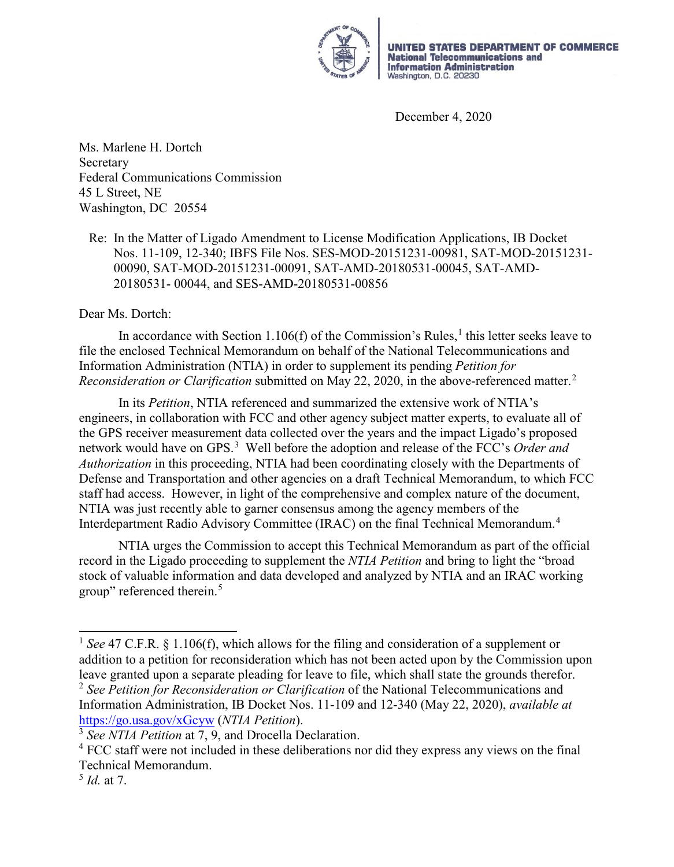

UNITED STATES DEPARTMENT OF COMMERCE **National Telecommunications and Information Administration**<br>Washington, D.C. 20230

December 4, 2020

Ms. Marlene H. Dortch Secretary Federal Communications Commission 45 L Street, NE Washington, DC 20554

Re: In the Matter of Ligado Amendment to License Modification Applications, IB Docket Nos. 11-109, 12-340; IBFS File Nos. SES-MOD-20151231-00981, SAT-MOD-20151231- 00090, SAT-MOD-20151231-00091, SAT-AMD-20180531-00045, SAT-AMD-20180531- 00044, and SES-AMD-20180531-00856

## Dear Ms. Dortch:

In accordance with Section 1.106(f) of the Commission's Rules,  $\frac{1}{1}$  this letter seeks leave to file the enclosed Technical Memorandum on behalf of the National Telecommunications and Information Administration (NTIA) in order to supplement its pending *Petition for Reconsideration or Clarification* submitted on May 22, 2020, in the above-referenced matter.<sup>2</sup>

In its *Petition*, NTIA referenced and summarized the extensive work of NTIA's engineers, in collaboration with FCC and other agency subject matter experts, to evaluate all of the GPS receiver measurement data collected over the years and the impact Ligado's proposed network would have on GPS.<sup>3</sup> Well before the adoption and release of the FCC's Order and *Authorization* in this proceeding, NTIA had been coordinating closely with the Departments of Defense and Transportation and other agencies on a draft Technical Memorandum, to which FCC staff had access. However, in light of the comprehensive and complex nature of the document, NTIA was just recently able to garner consensus among the agency members of the Interdepartment Radio Advisory Committee (IRAC) on the final Technical Memorandum. 4

NTIA urges the Commission to accept this Technical Memorandum as part of the official record in the Ligado proceeding to supplement the *NTIA Petition* and bring to light the "broad stock of valuable information and data developed and analyzed by NTIA and an IRAC working group" referenced therein.<sup>5</sup>

<sup>&</sup>lt;sup>1</sup> *See* 47 C.F.R. § 1.106(f), which allows for the filing and consideration of a supplement or addition to a petition for reconsideration which has not been acted upon by the Commission upon leave granted upon a separate pleading for leave to file, which shall state the grounds therefor. <sup>2</sup> *See Petition for Reconsideration or Clarification* of the National Telecommunications and Information Administration, IB Docket Nos. 11-109 and 12-340 (May 22, 2020), *available at* https://go.usa.gov/xGcyw (*NTIA Petition*).

<sup>3</sup> *See NTIA Petition* at 7, 9, and Drocella Declaration.

<sup>&</sup>lt;sup>4</sup> FCC staff were not included in these deliberations nor did they express any views on the final Technical Memorandum.

<sup>5</sup> *Id.* at 7.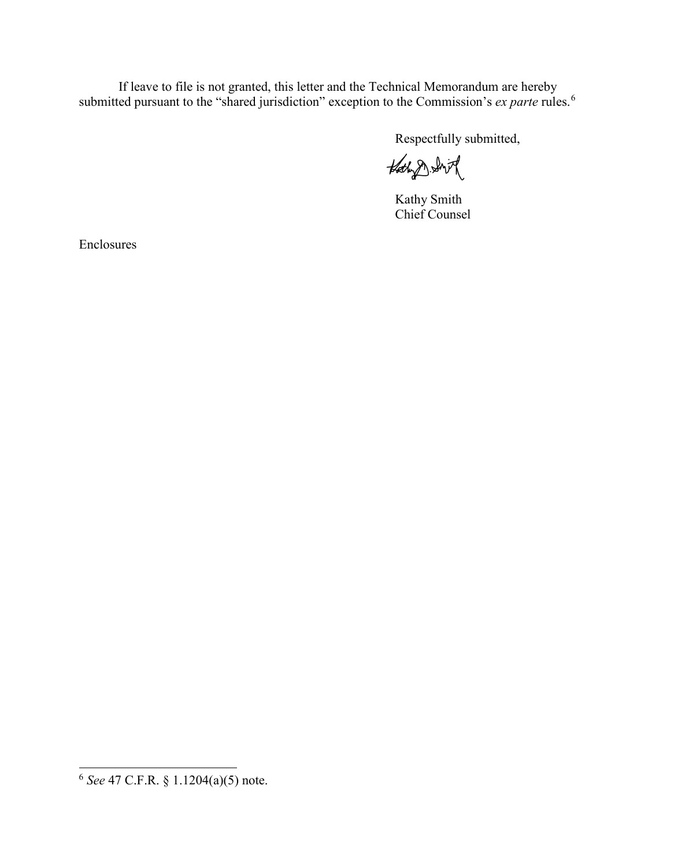If leave to file is not granted, this letter and the Technical Memorandum are hereby submitted pursuant to the "shared jurisdiction" exception to the Commission's *ex parte* rules.<sup>6</sup>

Respectfully submitted,

Hath & Swith

Kathy Smith Chief Counsel

Enclosures

1

<sup>6</sup> *See* 47 C.F.R. § 1.1204(a)(5) note.